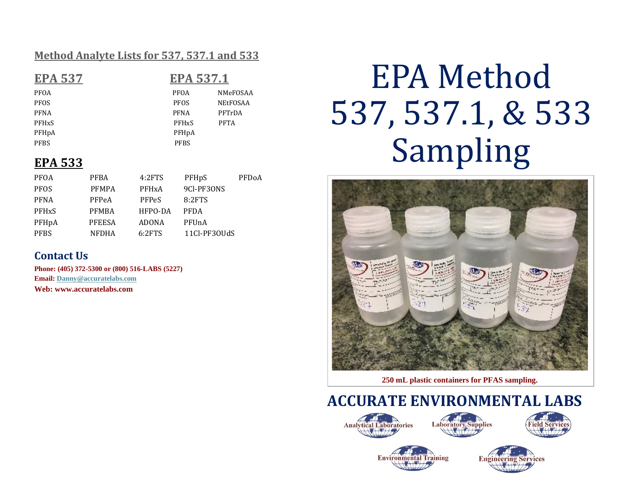#### **Method Analyte Lists for 537, 537.1 and 533**

| <b>EPA 537</b>     | <b>EPA 537.1</b>        |                   |  |
|--------------------|-------------------------|-------------------|--|
| PFOA               | <b>PFOA</b>             | NMeF              |  |
| <b>PFOS</b>        | <b>PFOS</b>             | NEtF <sub>0</sub> |  |
| <b>PFNA</b>        | <b>PFNA</b>             | PFTrI             |  |
| <b>PFHxS</b>       | <b>PFH<sub>x</sub>S</b> | <b>PFTA</b>       |  |
| PFH <sub>p</sub> A | PFH <sub>p</sub> A      |                   |  |

PFBS PFBS

**EPA 537 EPA 537.1** PFOA NMeFOSAA PFOS NEtFOSAA PFNA PFTrDA

### **EPA 533**

| <b>PFOA</b>             | <b>PFBA</b>   | 4:2FTS       | PFHpS        | PFDoA |
|-------------------------|---------------|--------------|--------------|-------|
| <b>PFOS</b>             | <b>PFMPA</b>  | <b>PFHxA</b> | 9CI-PF30NS   |       |
| <b>PFNA</b>             | PFPeA         | <b>PFPeS</b> | 8:2FTS       |       |
| <b>PFH<sub>x</sub>S</b> | <b>PFMBA</b>  | HFPO-DA      | <b>PFDA</b>  |       |
| PFHpA                   | <b>PFEESA</b> | ADONA        | PFUnA        |       |
| <b>PFBS</b>             | <b>NFDHA</b>  | 6:2FTS       | 11Cl-PF30UdS |       |

### **Contact Us**

**Phone: (405) 372-5300 or (800) 516-LABS (5227) Email[: Danny@accuratelabs.com](mailto:Danny@accuratelabs.com) Web: www.accuratelabs.com**

# EPA Method 537, 537.1, & 533 Sampling



**250 mL plastic containers for PFAS sampling.**

**ACCURATE ENVIRONMENTAL LABS**







**Environmental Training**